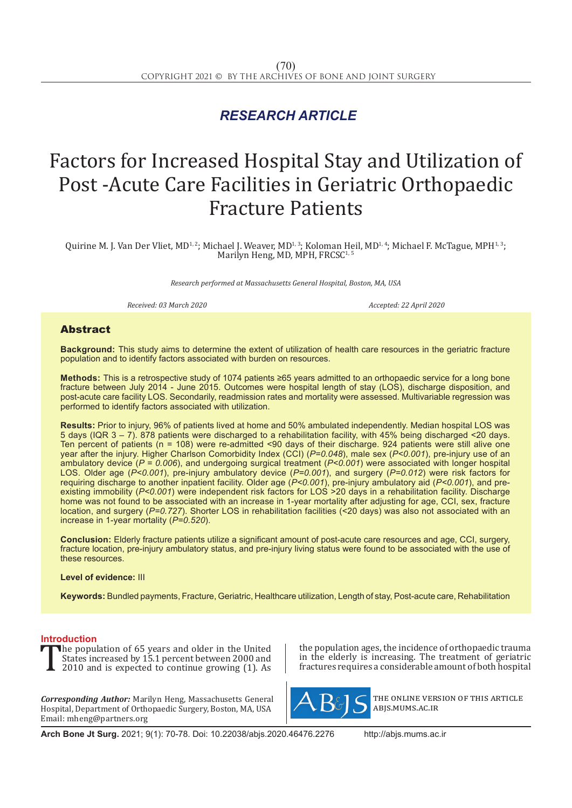## *RESEARCH ARTICLE*

# Factors for Increased Hospital Stay and Utilization of Post -Acute Care Facilities in Geriatric Orthopaedic Fracture Patients

Quirine M. J. Van Der Vliet, MD<sup>1, 2</sup>; Michael J. Weaver, MD<sup>1, 3</sup>; Koloman Heil, MD<sup>1, 4</sup>; Michael F. McTague, MPH<sup>1, 3</sup>; Marilyn Heng, MD, MPH, FRCSC<sup>1, 5</sup>

*Research performed at Massachusetts General Hospital, Boston, MA, USA*

*Received: 03 March 2020 Accepted: 22 April 2020*

#### **Abstract**

**Background:** This study aims to determine the extent of utilization of health care resources in the geriatric fracture population and to identify factors associated with burden on resources.

**Methods:** This is a retrospective study of 1074 patients ≥65 years admitted to an orthopaedic service for a long bone fracture between July 2014 - June 2015. Outcomes were hospital length of stay (LOS), discharge disposition, and post-acute care facility LOS. Secondarily, readmission rates and mortality were assessed. Multivariable regression was performed to identify factors associated with utilization.

**Results:** Prior to injury, 96% of patients lived at home and 50% ambulated independently. Median hospital LOS was 5 days (IQR 3 – 7). 878 patients were discharged to a rehabilitation facility, with 45% being discharged <20 days. Ten percent of patients (n = 108) were re-admitted <90 days of their discharge. 924 patients were still alive one year after the injury. Higher Charlson Comorbidity Index (CCI) (*P=0.048*), male sex (*P<0.001*), pre-injury use of an ambulatory device (*P = 0.006*), and undergoing surgical treatment (*P<0.001*) were associated with longer hospital LOS. Older age (*P<0.001*), pre-injury ambulatory device (*P=0.001*), and surgery (*P=0.012*) were risk factors for requiring discharge to another inpatient facility. Older age (*P<0.001*), pre-injury ambulatory aid (*P<0.001*), and preexisting immobility (*P<0.001*) were independent risk factors for LOS >20 days in a rehabilitation facility. Discharge home was not found to be associated with an increase in 1-year mortality after adjusting for age, CCI, sex, fracture location, and surgery (*P=0.727*). Shorter LOS in rehabilitation facilities (<20 days) was also not associated with an increase in 1-year mortality (*P=0.520*).

**Conclusion:** Elderly fracture patients utilize a significant amount of post-acute care resources and age, CCI, surgery, fracture location, pre-injury ambulatory status, and pre-injury living status were found to be associated with the use of these resources.

#### **Level of evidence:** III

**Keywords:** Bundled payments, Fracture, Geriatric, Healthcare utilization, Length of stay, Post-acute care, Rehabilitation

**Introduction**<br>**T** the population of 65 years and older in the United The population of 65 years and older in the United<br>States increased by 15.1 percent between 2000 and<br>2010 and is expected to continue growing (1). As States increased by 15.1 percent between 2000 and 2010 and is expected to continue growing  $(1)$ . As

*Corresponding Author:* Marilyn Heng, Massachusetts General Hospital, Department of Orthopaedic Surgery, Boston, MA, USA Email: mheng@partners.org

the population ages, the incidence of orthopaedic trauma in the elderly is increasing. The treatment of geriatric fractures requires a considerable amount of both hospital



the online version of this article abjs.mums.ac.ir

**Arch Bone Jt Surg.** 2021; 9(1): 70-78. Doi: 10.22038/abjs.2020.46476.2276 http://abjs.mums.ac.ir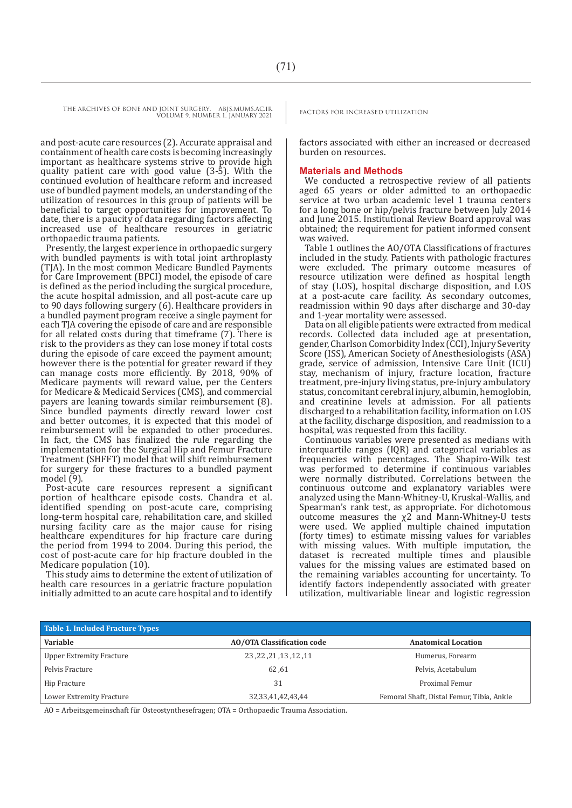and post-acute care resources (2). Accurate appraisal and containment of health care costs is becoming increasingly important as healthcare systems strive to provide high quality patient care with good value (3-5). With the continued evolution of healthcare reform and increased use of bundled payment models, an understanding of the utilization of resources in this group of patients will be beneficial to target opportunities for improvement. To date, there is a paucity of data regarding factors affecting increased use of healthcare resources in geriatric orthopaedic trauma patients.

Presently, the largest experience in orthopaedic surgery with bundled payments is with total joint arthroplasty (TJA). In the most common Medicare Bundled Payments for Care Improvement (BPCI) model, the episode of care is defined as the period including the surgical procedure, the acute hospital admission, and all post-acute care up to 90 days following surgery (6). Healthcare providers in a bundled payment program receive a single payment for each TJA covering the episode of care and are responsible for all related costs during that timeframe (7). There is risk to the providers as they can lose money if total costs during the episode of care exceed the payment amount; however there is the potential for greater reward if they can manage costs more efficiently. By 2018, 90% of Medicare payments will reward value, per the Centers for Medicare & Medicaid Services (CMS), and commercial payers are leaning towards similar reimbursement (8). Since bundled payments directly reward lower cost and better outcomes, it is expected that this model of reimbursement will be expanded to other procedures. In fact, the CMS has finalized the rule regarding the implementation for the Surgical Hip and Femur Fracture Treatment (SHFFT) model that will shift reimbursement for surgery for these fractures to a bundled payment model  $(9)$ .

Post-acute care resources represent a significant portion of healthcare episode costs. Chandra et al. identified spending on post-acute care, comprising long-term hospital care, rehabilitation care, and skilled nursing facility care as the major cause for rising healthcare expenditures for hip fracture care during the period from 1994 to 2004. During this period, the cost of post-acute care for hip fracture doubled in the Medicare population (10).

This study aims to determine the extent of utilization of health care resources in a geriatric fracture population initially admitted to an acute care hospital and to identify

factors associated with either an increased or decreased burden on resources.

#### **Materials and Methods**

We conducted a retrospective review of all patients aged 65 years or older admitted to an orthopaedic service at two urban academic level 1 trauma centers for a long bone or hip/pelvis fracture between July 2014 and June 2015. Institutional Review Board approval was obtained; the requirement for patient informed consent was waived.

Table 1 outlines the AO/OTA Classifications of fractures included in the study. Patients with pathologic fractures were excluded. The primary outcome measures of resource utilization were defined as hospital length of stay (LOS), hospital discharge disposition, and LOS at a post-acute care facility. As secondary outcomes, readmission within 90 days after discharge and 30-day and 1-year mortality were assessed.

Data on all eligible patients were extracted from medical records. Collected data included age at presentation, gender, Charlson Comorbidity Index (CCI), Injury Severity Score (ISS), American Society of Anesthesiologists (ASA) grade, service of admission, Intensive Care Unit (ICU) stay, mechanism of injury, fracture location, fracture treatment, pre-injury living status, pre-injury ambulatory status, concomitant cerebral injury, albumin, hemoglobin, and creatinine levels at admission. For all patients discharged to a rehabilitation facility, information on LOS at the facility, discharge disposition, and readmission to a hospital, was requested from this facility.

Continuous variables were presented as medians with interquartile ranges (IQR) and categorical variables as frequencies with percentages. The Shapiro-Wilk test was performed to determine if continuous variables were normally distributed. Correlations between the continuous outcome and explanatory variables were analyzed using the Mann-Whitney-U, Kruskal-Wallis, and Spearman's rank test, as appropriate. For dichotomous outcome measures the χ2 and Mann-Whitney-U tests were used. We applied multiple chained imputation (forty times) to estimate missing values for variables with missing values. With multiple imputation, the dataset is recreated multiple times and plausible values for the missing values are estimated based on the remaining variables accounting for uncertainty. To identify factors independently associated with greater utilization, multivariable linear and logistic regression

| <b>Table 1. Included Fracture Types</b> |                                   |                                           |  |
|-----------------------------------------|-----------------------------------|-------------------------------------------|--|
| <b>Variable</b>                         | <b>AO/OTA Classification code</b> | <b>Anatomical Location</b>                |  |
| Upper Extremity Fracture                | 11, 12, 13, 13, 22, 23            | Humerus, Forearm                          |  |
| Pelvis Fracture                         | 62,61                             | Pelvis, Acetabulum                        |  |
| Hip Fracture                            | 31                                | Proximal Femur                            |  |
| Lower Extremity Fracture                | 32, 33, 41, 42, 43, 44            | Femoral Shaft, Distal Femur, Tibia, Ankle |  |

AO = Arbeitsgemeinschaft für Osteostynthesefragen; OTA = Orthopaedic Trauma Association.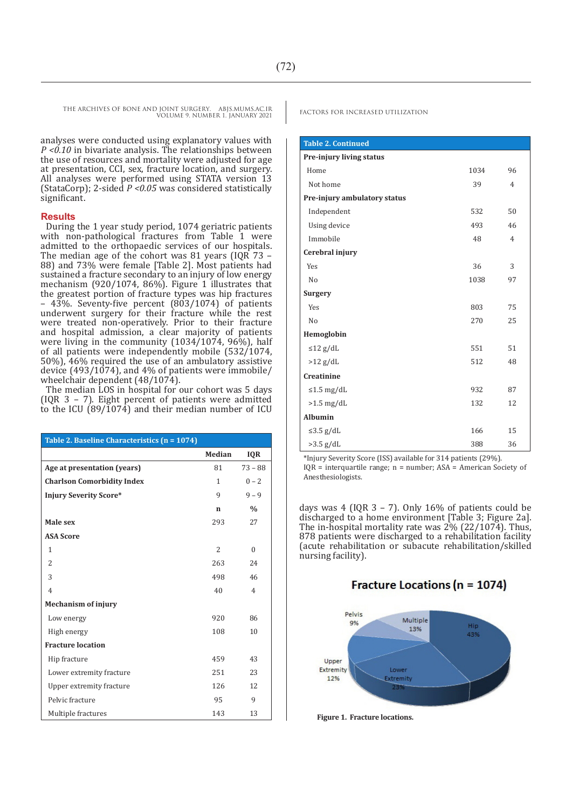analyses were conducted using explanatory values with *P <0.10* in bivariate analysis. The relationships between the use of resources and mortality were adjusted for age at presentation, CCI, sex, fracture location, and surgery. All analyses were performed using STATA version 13 (StataCorp); 2-sided *P <0.05* was considered statistically significant.

#### **Results**

During the 1 year study period, 1074 geriatric patients with non-pathological fractures from Table 1 were admitted to the orthopaedic services of our hospitals. The median age of the cohort was 81 years (IQR 73 – 88) and 73% were female [Table 2]. Most patients had sustained a fracture secondary to an injury of low energy mechanism (920/1074, 86%). Figure 1 illustrates that the greatest portion of fracture types was hip fractures – 43%. Seventy-five percent (803/1074) of patients underwent surgery for their fracture while the rest were treated non-operatively. Prior to their fracture and hospital admission, a clear majority of patients were living in the community (1034/1074, 96%), half of all patients were independently mobile (532/1074, 50%), 46% required the use of an ambulatory assistive device (493/1074), and 4% of patients were immobile/ wheelchair dependent (48/1074).

The median LOS in hospital for our cohort was 5 days (IQR 3 – 7). Eight percent of patients were admitted to the ICU  $(89/1074)$  and their median number of ICU

| Table 2. Baseline Characteristics (n = 1074) |                |                |  |
|----------------------------------------------|----------------|----------------|--|
|                                              | Median         | <b>IQR</b>     |  |
| Age at presentation (years)                  | 81             | $73 - 88$      |  |
| <b>Charlson Comorbidity Index</b>            | 1              | $0 - 2$        |  |
| <b>Injury Severity Score*</b>                | 9              | $9 - 9$        |  |
|                                              | n              | $\frac{0}{0}$  |  |
| Male sex                                     | 293            | 27             |  |
| <b>ASA Score</b>                             |                |                |  |
| 1                                            | $\overline{2}$ | $\Omega$       |  |
| $\overline{2}$                               | 263            | 24             |  |
| 3                                            | 498            | 46             |  |
| $\overline{4}$                               | 40             | $\overline{4}$ |  |
| <b>Mechanism of injury</b>                   |                |                |  |
| Low energy                                   | 920            | 86             |  |
| High energy                                  | 108            | 10             |  |
| <b>Fracture location</b>                     |                |                |  |
| Hip fracture                                 | 459            | 43             |  |
| Lower extremity fracture                     | 251            | 23             |  |
| Upper extremity fracture                     | 126            | 12             |  |
| Pelvic fracture                              | 95             | 9              |  |
| Multiple fractures                           | 143            | 13             |  |

| <b>Table 2. Continued</b>       |      |                |
|---------------------------------|------|----------------|
| <b>Pre-injury living status</b> |      |                |
| Home                            | 1034 | 96             |
| Not home                        | 39   | $\overline{4}$ |
| Pre-injury ambulatory status    |      |                |
| Independent                     | 532  | 50             |
| Using device                    | 493  | 46             |
| Immobile                        | 48   | $\overline{4}$ |
| Cerebral injury                 |      |                |
| Yes                             | 36   | 3              |
| No                              | 1038 | 97             |
| Surgery                         |      |                |
| Yes                             | 803  | 75             |
| No                              | 270  | 25             |
| Hemoglobin                      |      |                |
| $\leq$ 12 g/dL                  | 551  | 51             |
| $>12$ g/dL                      | 512  | 48             |
| Creatinine                      |      |                |
| $\leq 1.5$ mg/dL                | 932  | 87             |
| $>1.5$ mg/dL                    | 132  | 12             |
| <b>Albumin</b>                  |      |                |
| ≤3.5 $g/dL$                     | 166  | 15             |
| $>3.5$ g/dL                     | 388  | 36             |

\*Injury Severity Score (ISS) available for 314 patients (29%).

IQR = interquartile range; n = number; ASA = American Society of Anesthesiologists.

days was 4 (IQR  $3 - 7$ ). Only 16% of patients could be discharged to a home environment [Table 3; Figure 2a]. The in-hospital mortality rate was 2% (22/1074). Thus, 878 patients were discharged to a rehabilitation facility (acute rehabilitation or subacute rehabilitation/skilled nursing facility).

### **Fracture Locations (n = 1074)**



**Figure 1. Fracture locations.**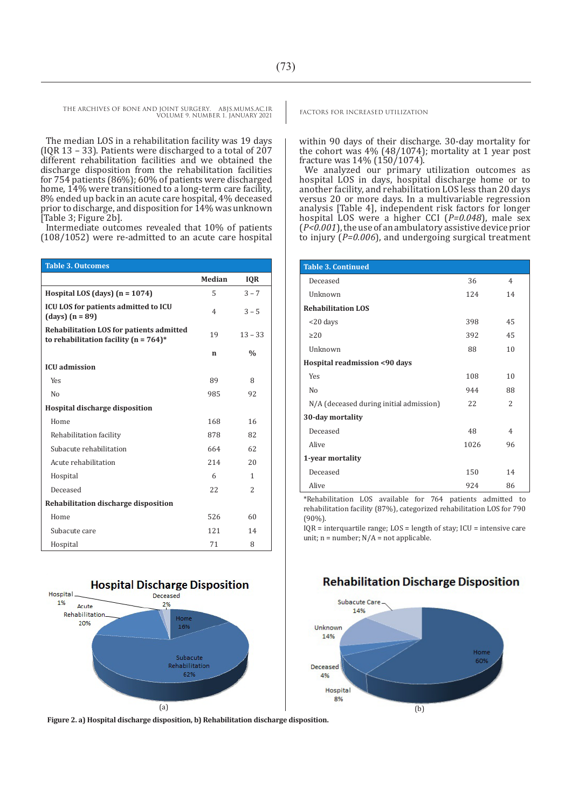The median LOS in a rehabilitation facility was 19 days (IQR 13 – 33). Patients were discharged to a total of 207 different rehabilitation facilities and we obtained the discharge disposition from the rehabilitation facilities for 754 patients (86%); 60% of patients were discharged home, 14% were transitioned to a long-term care facility, 8% ended up back in an acute care hospital, 4% deceased prior to discharge, and disposition for  $14\%$  was unknown [Table 3; Figure 2b].

Intermediate outcomes revealed that 10% of patients (108/1052) were re-admitted to an acute care hospital

| <b>Table 3. Outcomes</b>                                                              |                |               |
|---------------------------------------------------------------------------------------|----------------|---------------|
|                                                                                       | <b>Median</b>  | <b>IQR</b>    |
| Hospital LOS (days) $(n = 1074)$                                                      | 5              | $3 - 7$       |
| ICU LOS for patients admitted to ICU<br>(days) $(n = 89)$                             | $\overline{4}$ | $3 - 5$       |
| Rehabilitation LOS for patients admitted<br>to rehabilitation facility ( $n = 764$ )* | 19             | $13 - 33$     |
|                                                                                       | n              | $\frac{0}{0}$ |
| <b>ICU</b> admission                                                                  |                |               |
| Yes                                                                                   | 89             | 8             |
| N <sub>0</sub>                                                                        | 985            | 92            |
| Hospital discharge disposition                                                        |                |               |
| Home                                                                                  | 168            | 16            |
| Rehabilitation facility                                                               | 878            | 82            |
| Subacute rehabilitation                                                               | 664            | 62            |
| Acute rehabilitation                                                                  | 214            | 20            |
| Hospital                                                                              | 6              | 1             |
| Deceased                                                                              | 22             | $\mathcal{L}$ |
| Rehabilitation discharge disposition                                                  |                |               |
| Home                                                                                  | 526            | 60            |
| Subacute care                                                                         | 121            | 14            |
| Hospital                                                                              | 71             | 8             |



**Figure 2. a) Hospital discharge disposition, b) Rehabilitation discharge disposition.** 

within 90 days of their discharge. 30-day mortality for the cohort was 4% (48/1074); mortality at 1 year post fracture was 14% (150/1074).

We analyzed our primary utilization outcomes as hospital LOS in days, hospital discharge home or to another facility, and rehabilitation LOS less than 20 days versus 20 or more days. In a multivariable regression analysis [Table 4], independent risk factors for longer hospital LOS were a higher CCI (*P=0.048*), male sex (*P<0.001*), the use of an ambulatory assistive device prior to injury (*P=0.006*), and undergoing surgical treatment

| <b>Table 3. Continued</b>               |      |                |
|-----------------------------------------|------|----------------|
| Deceased                                | 36   | $\overline{4}$ |
| Unknown                                 | 124  | 14             |
| <b>Rehabilitation LOS</b>               |      |                |
| $<$ 20 days                             | 398  | 45             |
| $\geq$ 20                               | 392  | 45             |
| Unknown                                 | 88   | 10             |
| Hospital readmission <90 days           |      |                |
| <b>Yes</b>                              | 108  | 10             |
| No                                      | 944  | 88             |
| N/A (deceased during initial admission) | 22   | $\overline{c}$ |
| 30-day mortality                        |      |                |
| Deceased                                | 48   | $\overline{4}$ |
| <b>Alive</b>                            | 1026 | 96             |
| 1-year mortality                        |      |                |
| Deceased                                | 150  | 14             |
| <b>Alive</b>                            | 924  | 86             |

\*Rehabilitation LOS available for 764 patients admitted to rehabilitation facility (87%), categorized rehabilitation LOS for 790 (90%).

IQR = interquartile range; LOS = length of stay; ICU = intensive care unit;  $n = number$ ;  $N/A = not applicable$ .



#### **Rehabilitation Discharge Disposition**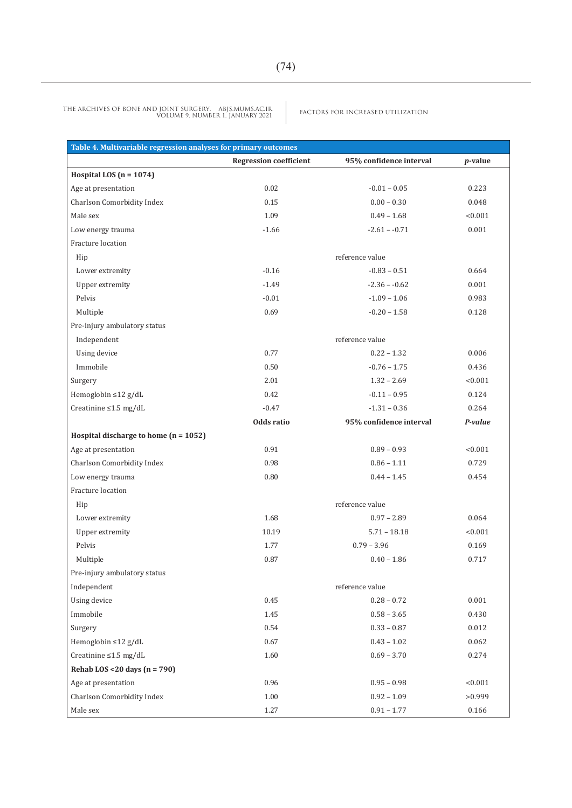FACTORS FOR INCREASED UTILIZATION THE ARCHIVES OF BONE AND JOINT SURGERY. ABJS.MUMS.AC.IR VOLUME 9. NUMBER 1. JANUARY 2021

| Table 4. Multivariable regression analyses for primary outcomes |                               |                         |            |
|-----------------------------------------------------------------|-------------------------------|-------------------------|------------|
|                                                                 | <b>Regression coefficient</b> | 95% confidence interval | $p$ -value |
| Hospital LOS ( $n = 1074$ )                                     |                               |                         |            |
| Age at presentation                                             | 0.02                          | $-0.01 - 0.05$          | 0.223      |
| Charlson Comorbidity Index                                      | 0.15                          | $0.00 - 0.30$           | 0.048      |
| Male sex                                                        | 1.09                          | $0.49 - 1.68$           | < 0.001    |
| Low energy trauma                                               | $-1.66$                       | $-2.61 - -0.71$         | 0.001      |
| Fracture location                                               |                               |                         |            |
| Hip                                                             |                               | reference value         |            |
| Lower extremity                                                 | $-0.16$                       | $-0.83 - 0.51$          | 0.664      |
| Upper extremity                                                 | $-1.49$                       | $-2.36 - -0.62$         | 0.001      |
| Pelvis                                                          | $-0.01$                       | $-1.09 - 1.06$          | 0.983      |
| Multiple                                                        | 0.69                          | $-0.20 - 1.58$          | 0.128      |
| Pre-injury ambulatory status                                    |                               |                         |            |
| Independent                                                     |                               | reference value         |            |
| Using device                                                    | 0.77                          | $0.22 - 1.32$           | 0.006      |
| Immobile                                                        | 0.50                          | $-0.76 - 1.75$          | 0.436      |
| Surgery                                                         | 2.01                          | $1.32 - 2.69$           | < 0.001    |
| Hemoglobin $\leq 12$ g/dL                                       | 0.42                          | $-0.11 - 0.95$          | 0.124      |
| Creatinine $\leq 1.5$ mg/dL                                     | $-0.47$                       | $-1.31 - 0.36$          | 0.264      |
|                                                                 | Odds ratio                    | 95% confidence interval | P-value    |
| Hospital discharge to home $(n = 1052)$                         |                               |                         |            |
| Age at presentation                                             | 0.91                          | $0.89 - 0.93$           | < 0.001    |
| Charlson Comorbidity Index                                      | 0.98                          | $0.86 - 1.11$           | 0.729      |
| Low energy trauma                                               | 0.80                          | $0.44 - 1.45$           | 0.454      |
| Fracture location                                               |                               |                         |            |
| Hip                                                             | reference value               |                         |            |
| Lower extremity                                                 | 1.68                          | $0.97 - 2.89$           | 0.064      |
| Upper extremity                                                 | 10.19                         | $5.71 - 18.18$          | < 0.001    |
| Pelvis                                                          | 1.77                          | $0.79 - 3.96$           | 0.169      |
| Multiple                                                        | 0.87                          | $0.40 - 1.86$           | 0.717      |
| Pre-injury ambulatory status                                    |                               |                         |            |
| Independent                                                     |                               | reference value         |            |
| Using device                                                    | 0.45                          | $0.28 - 0.72$           | 0.001      |
| Immobile                                                        | 1.45                          | $0.58 - 3.65$           | 0.430      |
| Surgery                                                         | 0.54                          | $0.33 - 0.87$           | 0.012      |
| Hemoglobin ≤12 g/dL                                             | 0.67                          | $0.43 - 1.02$           | 0.062      |
| Creatinine $\leq 1.5$ mg/dL                                     | 1.60                          | $0.69 - 3.70$           | 0.274      |
| Rehab LOS <20 days $(n = 790)$                                  |                               |                         |            |
| Age at presentation                                             | 0.96                          | $0.95 - 0.98$           | < 0.001    |
| Charlson Comorbidity Index                                      | 1.00                          | $0.92 - 1.09$           | >0.999     |
| Male sex                                                        | 1.27                          | $0.91 - 1.77$           | 0.166      |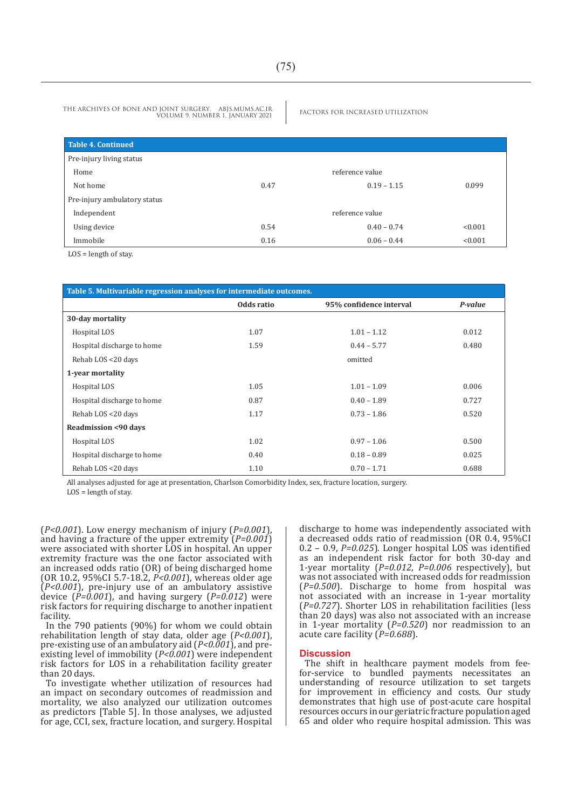VOLUME 9. NUMBER 1. JANUARY 2021

| <b>Table 4. Continued</b>    |                 |               |         |
|------------------------------|-----------------|---------------|---------|
| Pre-injury living status     |                 |               |         |
| Home                         | reference value |               |         |
| Not home                     | 0.47            | $0.19 - 1.15$ | 0.099   |
| Pre-injury ambulatory status |                 |               |         |
| Independent                  | reference value |               |         |
| Using device                 | 0.54            | $0.40 - 0.74$ | < 0.001 |
| Immobile                     | 0.16            | $0.06 - 0.44$ | < 0.001 |

LOS = length of stay.

| Table 5. Multivariable regression analyses for intermediate outcomes. |            |                         |         |
|-----------------------------------------------------------------------|------------|-------------------------|---------|
|                                                                       | Odds ratio | 95% confidence interval | P-value |
| 30-day mortality                                                      |            |                         |         |
| Hospital LOS                                                          | 1.07       | $1.01 - 1.12$           | 0.012   |
| Hospital discharge to home                                            | 1.59       | $0.44 - 5.77$           | 0.480   |
| Rehab LOS <20 days                                                    |            | omitted                 |         |
| 1-year mortality                                                      |            |                         |         |
| Hospital LOS                                                          | 1.05       | $1.01 - 1.09$           | 0.006   |
| Hospital discharge to home                                            | 0.87       | $0.40 - 1.89$           | 0.727   |
| Rehab LOS <20 days                                                    | 1.17       | $0.73 - 1.86$           | 0.520   |
| <b>Readmission &lt;90 days</b>                                        |            |                         |         |
| Hospital LOS                                                          | 1.02       | $0.97 - 1.06$           | 0.500   |
| Hospital discharge to home                                            | 0.40       | $0.18 - 0.89$           | 0.025   |
| Rehab LOS <20 days                                                    | 1.10       | $0.70 - 1.71$           | 0.688   |

All analyses adjusted for age at presentation, Charlson Comorbidity Index, sex, fracture location, surgery. LOS = length of stay.

(*P<0.001*). Low energy mechanism of injury (*P=0.001*), and having a fracture of the upper extremity (*P=0.001*) were associated with shorter LOS in hospital. An upper extremity fracture was the one factor associated with an increased odds ratio (OR) of being discharged home (OR 10.2, 95%CI 5.7-18.2, *P<0.001*), whereas older age (*P<0.001*), pre-injury use of an ambulatory assistive device (*P=0.001*), and having surgery (*P=0.012*) were risk factors for requiring discharge to another inpatient facility.

In the 790 patients (90%) for whom we could obtain rehabilitation length of stay data, older age (*P<0.001*), pre-existing use of an ambulatory aid (*P<0.001*), and preexisting level of immobility (*P<0.001*) were independent risk factors for LOS in a rehabilitation facility greater than 20 days.

To investigate whether utilization of resources had an impact on secondary outcomes of readmission and mortality, we also analyzed our utilization outcomes as predictors [Table 5]. In those analyses, we adjusted for age, CCI, sex, fracture location, and surgery. Hospital discharge to home was independently associated with a decreased odds ratio of readmission (OR 0.4, 95%CI 0.2 – 0.9, *P=0.025*). Longer hospital LOS was identified as an independent risk factor for both 30-day and 1-year mortality (*P=0.012*, *P=0.006* respectively), but was not associated with increased odds for readmission (*P=0.500*). Discharge to home from hospital was not associated with an increase in 1-year mortality (*P=0.727*). Shorter LOS in rehabilitation facilities (less than 20 days) was also not associated with an increase in 1-year mortality (*P=0.520*) nor readmission to an acute care facility (*P=0.688*).

#### **Discussion**

The shift in healthcare payment models from feefor-service to bundled payments necessitates an understanding of resource utilization to set targets for improvement in efficiency and costs. Our study demonstrates that high use of post-acute care hospital resources occurs in our geriatric fracture population aged 65 and older who require hospital admission. This was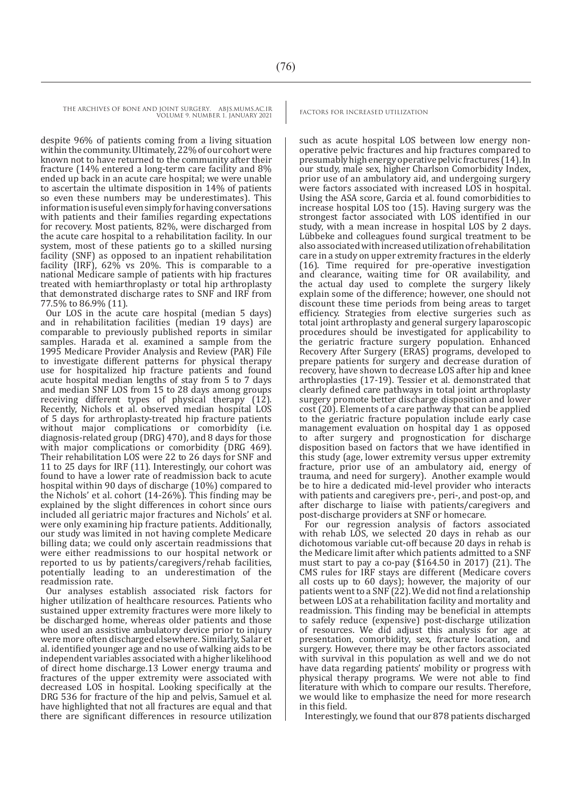despite 96% of patients coming from a living situation within the community. Ultimately, 22% of our cohort were known not to have returned to the community after their fracture (14% entered a long-term care facility and 8% ended up back in an acute care hospital; we were unable to ascertain the ultimate disposition in 14% of patients so even these numbers may be underestimates). This information is useful even simply for having conversations with patients and their families regarding expectations for recovery. Most patients, 82%, were discharged from the acute care hospital to a rehabilitation facility. In our system, most of these patients go to a skilled nursing facility (SNF) as opposed to an inpatient rehabilitation facility (IRF), 62% vs 20%. This is comparable to a national Medicare sample of patients with hip fractures treated with hemiarthroplasty or total hip arthroplasty that demonstrated discharge rates to SNF and IRF from 77.5% to 86.9% (11).

Our LOS in the acute care hospital (median 5 days) and in rehabilitation facilities (median 19 days) are comparable to previously published reports in similar samples. Harada et al. examined a sample from the 1995 Medicare Provider Analysis and Review (PAR) File to investigate different patterns for physical therapy use for hospitalized hip fracture patients and found acute hospital median lengths of stay from 5 to 7 days and median SNF LOS from 15 to 28 days among groups receiving different types of physical therapy (12). Recently, Nichols et al. observed median hospital LOS of 5 days for arthroplasty-treated hip fracture patients without major complications or comorbidity (i.e. diagnosis-related group (DRG) 470), and 8 days for those with major complications or comorbidity (DRG 469). Their rehabilitation LOS were 22 to 26 days for SNF and 11 to 25 days for IRF (11). Interestingly, our cohort was found to have a lower rate of readmission back to acute hospital within 90 days of discharge (10%) compared to the Nichols' et al. cohort (14-26%). This finding may be explained by the slight differences in cohort since ours included all geriatric major fractures and Nichols' et al. were only examining hip fracture patients. Additionally, our study was limited in not having complete Medicare billing data; we could only ascertain readmissions that were either readmissions to our hospital network or reported to us by patients/caregivers/rehab facilities, potentially leading to an underestimation of the readmission rate.

Our analyses establish associated risk factors for higher utilization of healthcare resources. Patients who sustained upper extremity fractures were more likely to be discharged home, whereas older patients and those who used an assistive ambulatory device prior to injury were more often discharged elsewhere. Similarly, Salar et al. identified younger age and no use of walking aids to be independent variables associated with a higher likelihood of direct home discharge.13 Lower energy trauma and fractures of the upper extremity were associated with decreased LOS in hospital. Looking specifically at the DRG 536 for fracture of the hip and pelvis, Samuel et al. have highlighted that not all fractures are equal and that there are significant differences in resource utilization

such as acute hospital LOS between low energy nonoperative pelvic fractures and hip fractures compared to presumably high energy operative pelvic fractures (14). In our study, male sex, higher Charlson Comorbidity Index, prior use of an ambulatory aid, and undergoing surgery were factors associated with increased LOS in hospital. Using the ASA score, Garcia et al. found comorbidities to increase hospital LOS too (15). Having surgery was the strongest factor associated with LOS identified in our study, with a mean increase in hospital LOS by 2 days. Lübbeke and colleagues found surgical treatment to be also associated with increased utilization of rehabilitation care in a study on upper extremity fractures in the elderly (16). Time required for pre-operative investigation and clearance, waiting time for OR availability, and the actual day used to complete the surgery likely explain some of the difference; however, one should not discount these time periods from being areas to target efficiency. Strategies from elective surgeries such as total joint arthroplasty and general surgery laparoscopic procedures should be investigated for applicability to the geriatric fracture surgery population. Enhanced Recovery After Surgery (ERAS) programs, developed to prepare patients for surgery and decrease duration of recovery, have shown to decrease LOS after hip and knee arthroplasties (17-19). Tessier et al. demonstrated that clearly defined care pathways in total joint arthroplasty surgery promote better discharge disposition and lower cost (20). Elements of a care pathway that can be applied to the geriatric fracture population include early case management evaluation on hospital day 1 as opposed to after surgery and prognostication for discharge disposition based on factors that we have identified in this study (age, lower extremity versus upper extremity fracture, prior use of an ambulatory aid, energy of trauma, and need for surgery). Another example would be to hire a dedicated mid-level provider who interacts with patients and caregivers pre-, peri-, and post-op, and after discharge to liaise with patients/caregivers and post-discharge providers at SNF or homecare.

For our regression analysis of factors associated with rehab LOS, we selected 20 days in rehab as our dichotomous variable cut-off because 20 days in rehab is the Medicare limit after which patients admitted to a SNF must start to pay a co-pay  $(\$164.50 \text{ in } 2017)$  (21). The CMS rules for IRF stays are different (Medicare covers all costs up to 60 days); however, the majority of our patients went to a SNF (22). We did not find a relationship between LOS at a rehabilitation facility and mortality and readmission. This finding may be beneficial in attempts to safely reduce (expensive) post-discharge utilization of resources. We did adjust this analysis for age at presentation, comorbidity, sex, fracture location, and surgery. However, there may be other factors associated with survival in this population as well and we do not have data regarding patients' mobility or progress with physical therapy programs. We were not able to find literature with which to compare our results. Therefore, we would like to emphasize the need for more research in this field.

Interestingly, we found that our 878 patients discharged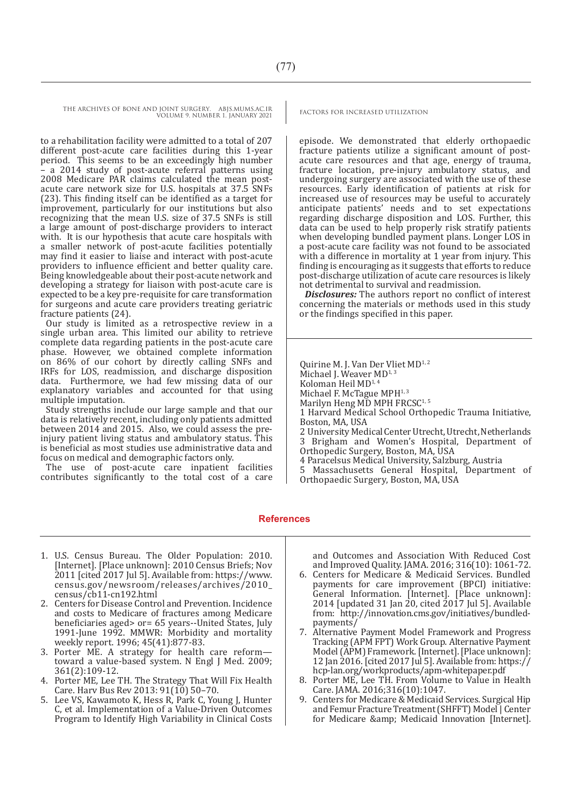to a rehabilitation facility were admitted to a total of 207 different post-acute care facilities during this 1-year period. This seems to be an exceedingly high number – a 2014 study of post-acute referral patterns using 2008 Medicare PAR claims calculated the mean postacute care network size for U.S. hospitals at 37.5 SNFs (23). This finding itself can be identified as a target for improvement, particularly for our institutions but also recognizing that the mean U.S. size of 37.5 SNFs is still a large amount of post-discharge providers to interact with. It is our hypothesis that acute care hospitals with a smaller network of post-acute facilities potentially may find it easier to liaise and interact with post-acute providers to influence efficient and better quality care. Being knowledgeable about their post-acute network and developing a strategy for liaison with post-acute care is expected to be a key pre-requisite for care transformation for surgeons and acute care providers treating geriatric fracture patients (24).

Our study is limited as a retrospective review in a single urban area. This limited our ability to retrieve complete data regarding patients in the post-acute care phase. However, we obtained complete information on 86% of our cohort by directly calling SNFs and IRFs for LOS, readmission, and discharge disposition data. Furthermore, we had few missing data of our explanatory variables and accounted for that using multiple imputation.

Study strengths include our large sample and that our data is relatively recent, including only patients admitted between 2014 and 2015. Also, we could assess the preinjury patient living status and ambulatory status. This is beneficial as most studies use administrative data and focus on medical and demographic factors only.

The use of post-acute care inpatient facilities contributes significantly to the total cost of a care

episode. We demonstrated that elderly orthopaedic fracture patients utilize a significant amount of postacute care resources and that age, energy of trauma, fracture location, pre-injury ambulatory status, and undergoing surgery are associated with the use of these resources. Early identification of patients at risk for increased use of resources may be useful to accurately anticipate patients' needs and to set expectations regarding discharge disposition and LOS. Further, this data can be used to help properly risk stratify patients when developing bundled payment plans. Longer LOS in a post-acute care facility was not found to be associated with a difference in mortality at 1 year from injury. This finding is encouraging as it suggests that efforts to reduce post-discharge utilization of acute care resources is likely not detrimental to survival and readmission.

*Disclosures:* The authors report no conflict of interest concerning the materials or methods used in this study or the findings specified in this paper.

Quirine M. J. Van Der Vliet MD<sup>1, 2</sup> Michael I. Weaver  $MD^{1,3}$ Koloman Heil MD<sup>1,4</sup> Michael F. McTague MPH<sup>1,3</sup> Marilyn Heng MD MPH FRCSC<sup>1,5</sup> 1 Harvard Medical School Orthopedic Trauma Initiative, Boston, MA, USA 2 University Medical Center Utrecht, Utrecht, Netherlands Brigham and Women's Hospital, Department of Orthopedic Surgery, Boston, MA, USA 4 Paracelsus Medical University, Salzburg, Austria

5 Massachusetts General Hospital, Department of Orthopaedic Surgery, Boston, MA, USA

#### **References**

- 1. U.S. Census Bureau. The Older Population: 2010. [Internet]. [Place unknown]: 2010 Census Briefs; Nov 2011 [cited 2017 Jul 5]. Available from: https://www. census.gov/newsroom/releases/archives/2010\_ census/cb11-cn192.html
- 2. Centers for Disease Control and Prevention. Incidence and costs to Medicare of fractures among Medicare beneficiaries aged> or= 65 years--United States, July 1991-June 1992. MMWR: Morbidity and mortality weekly report. 1996; 45(41):877-83.
- 3. Porter ME. A strategy for health care reform toward a value-based system. N Engl J Med. 2009; 361(2):109-12.
- 4. Porter ME, Lee TH. The Strategy That Will Fix Health Care. Harv Bus Rev 2013: 91(10) 50–70.
- 5. Lee VS, Kawamoto K, Hess R, Park C, Young J, Hunter C, et al. Implementation of a Value-Driven Outcomes Program to Identify High Variability in Clinical Costs

and Outcomes and Association With Reduced Cost and Improved Quality. JAMA. 2016; 316(10): 1061-72.

- 6. Centers for Medicare & Medicaid Services. Bundled payments for care improvement (BPCI) initiative: General Information. [Internet]. [Place unknown]: 2014 [updated 31 Jan  $\overline{20}$ , cited  $\overline{2017}$  Jul 5]. Available from: http://innovation.cms.gov/initiatives/bundledpayments/
- 7. Alternative Payment Model Framework and Progress Tracking (APM FPT) Work Group. Alternative Payment Model (APM) Framework. [Internet]. [Place unknown]: 12 Jan 2016. [cited 2017 Jul 5]. Available from: https:// hcp-lan.org/workproducts/apm-whitepaper.pdf
- 8. Porter ME, Lee TH. From Volume to Value in Health Care. JAMA. 2016;316(10):1047.
- 9. Centers for Medicare & Medicaid Services. Surgical Hip and Femur Fracture Treatment (SHFFT) Model | Center for Medicare & amp; Medicaid Innovation [Internet].